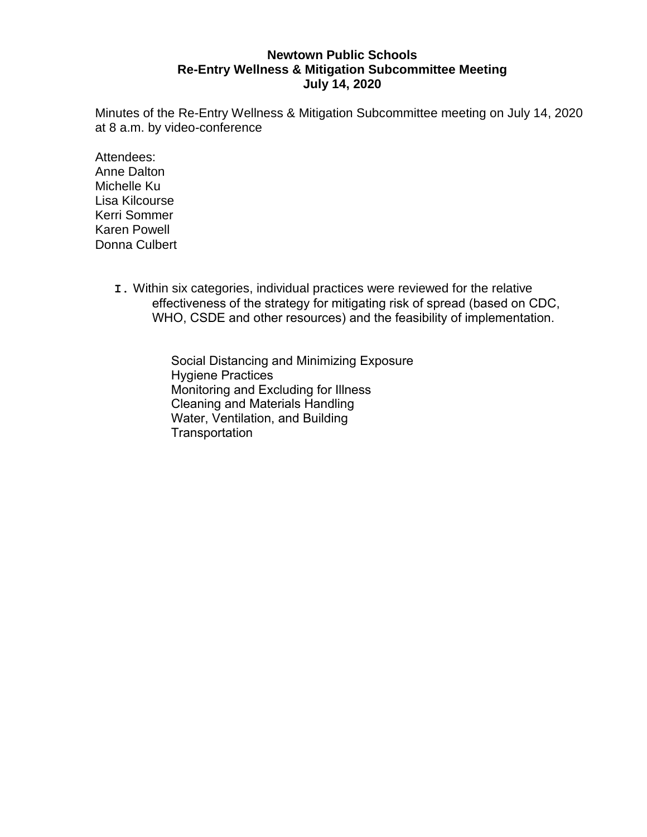## **Newtown Public Schools Re-Entry Wellness & Mitigation Subcommittee Meeting July 14, 2020**

Minutes of the Re-Entry Wellness & Mitigation Subcommittee meeting on July 14, 2020 at 8 a.m. by video-conference

Attendees: Anne Dalton Michelle Ku Lisa Kilcourse Kerri Sommer Karen Powell Donna Culbert

> **I.** Within six categories, individual practices were reviewed for the relative effectiveness of the strategy for mitigating risk of spread (based on CDC, WHO, CSDE and other resources) and the feasibility of implementation.

> > Social Distancing and Minimizing Exposure Hygiene Practices Monitoring and Excluding for Illness Cleaning and Materials Handling Water, Ventilation, and Building **Transportation**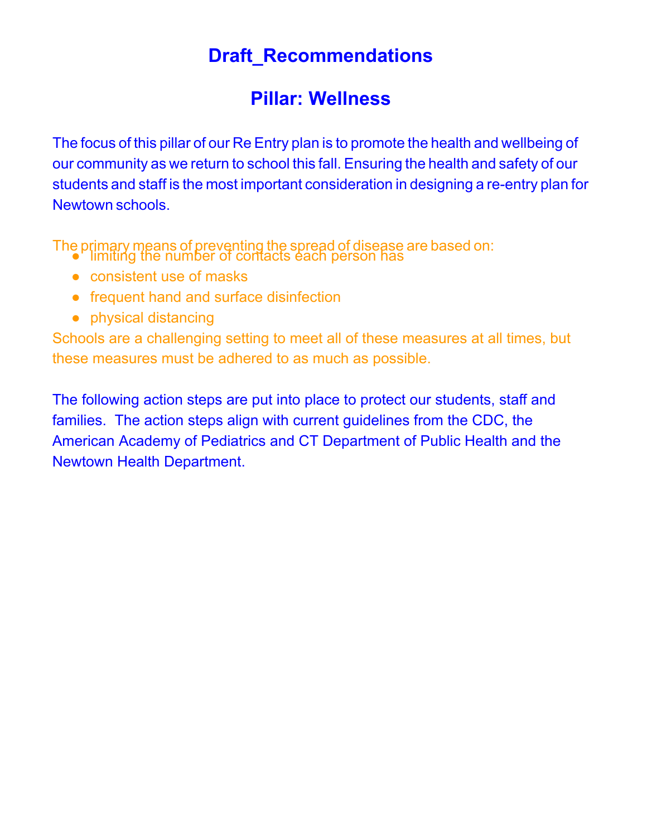## **Draft \_Recommendations**

## **Pillar: Wellness**

The focus of this pillar of our Re Entry plan is to promote the health and wellbeing of our community as we return to school this fall. Ensuring the health and safety of our students and staff is the most important consideration in designing a re-entry plan for Newtown schools.

The primary means of preventing the spread of disease are based on: ● limiting the number of contacts each person has

- consistent use of masks
- frequent hand and surface disinfection
- physical distancing

Schools are a challenging setting to meet all of these measures at all times, but these measures must be adhered to as much as possible.

The following action steps are put into place to protect our students, staff and families. The action steps align with current guidelines from the CDC, the American Academy of Pediatrics and CT Department of Public Health and the Newtown Health Department.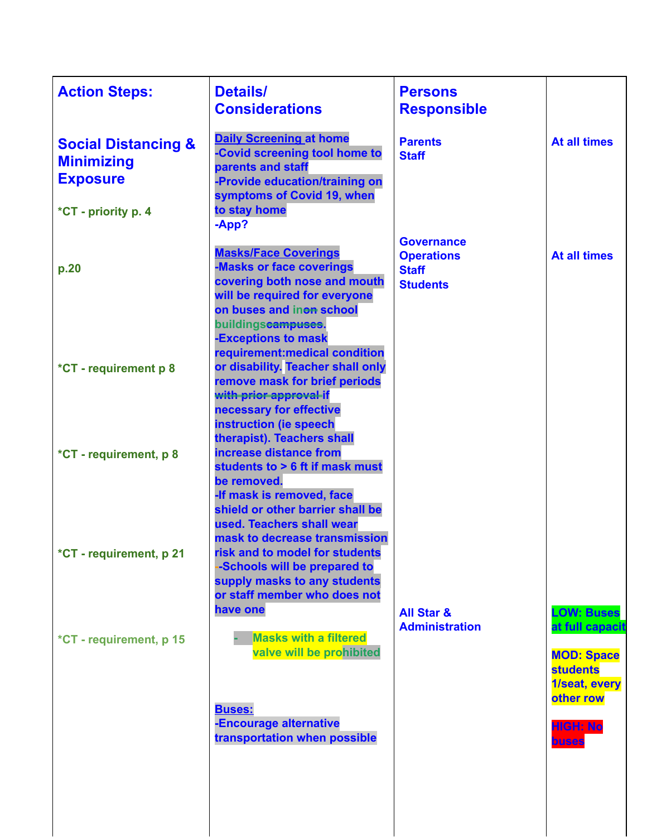| <b>Action Steps:</b>                                                                          | <b>Details/</b><br><b>Considerations</b>                                                                                                                                                                          | <b>Persons</b><br><b>Responsible</b>                                      |                                                                          |
|-----------------------------------------------------------------------------------------------|-------------------------------------------------------------------------------------------------------------------------------------------------------------------------------------------------------------------|---------------------------------------------------------------------------|--------------------------------------------------------------------------|
| <b>Social Distancing &amp;</b><br><b>Minimizing</b><br><b>Exposure</b><br>*CT - priority p. 4 | <b>Daily Screening at home</b><br>-Covid screening tool home to<br>parents and staff<br>-Provide education/training on<br>symptoms of Covid 19, when<br>to stay home<br>-App?                                     | <b>Parents</b><br><b>Staff</b>                                            | <b>At all times</b>                                                      |
| p.20                                                                                          | <b>Masks/Face Coverings</b><br>-Masks or face coverings<br>covering both nose and mouth<br>will be required for everyone<br>on buses and inon school<br>buildingscampuses.<br>-Exceptions to mask                 | <b>Governance</b><br><b>Operations</b><br><b>Staff</b><br><b>Students</b> | <b>At all times</b>                                                      |
| *CT - requirement p 8                                                                         | requirement: medical condition<br>or disability. Teacher shall only<br>remove mask for brief periods<br>with prior approval-if<br>necessary for effective<br>instruction (ie speech<br>therapist). Teachers shall |                                                                           |                                                                          |
| *CT - requirement, p 8                                                                        | increase distance from<br>students to > 6 ft if mask must<br>be removed.<br>-If mask is removed, face<br>shield or other barrier shall be<br>used. Teachers shall wear<br>mask to decrease transmission           |                                                                           |                                                                          |
| *CT - requirement, p 21                                                                       | risk and to model for students<br>-Schools will be prepared to<br>supply masks to any students<br>or staff member who does not<br>have one                                                                        | <b>All Star &amp;</b>                                                     | <b>LOW: Buses</b>                                                        |
| *CT - requirement, p 15                                                                       | <b>Masks with a filtered</b><br>valve will be prohibited                                                                                                                                                          | <b>Administration</b>                                                     | at full capacit<br><b>MOD: Space</b><br><b>students</b><br>1/seat, every |
|                                                                                               | <b>Buses:</b><br>-Encourage alternative<br>transportation when possible                                                                                                                                           |                                                                           | other row<br><b>HIGH: No</b><br><b>buses</b>                             |
|                                                                                               |                                                                                                                                                                                                                   |                                                                           |                                                                          |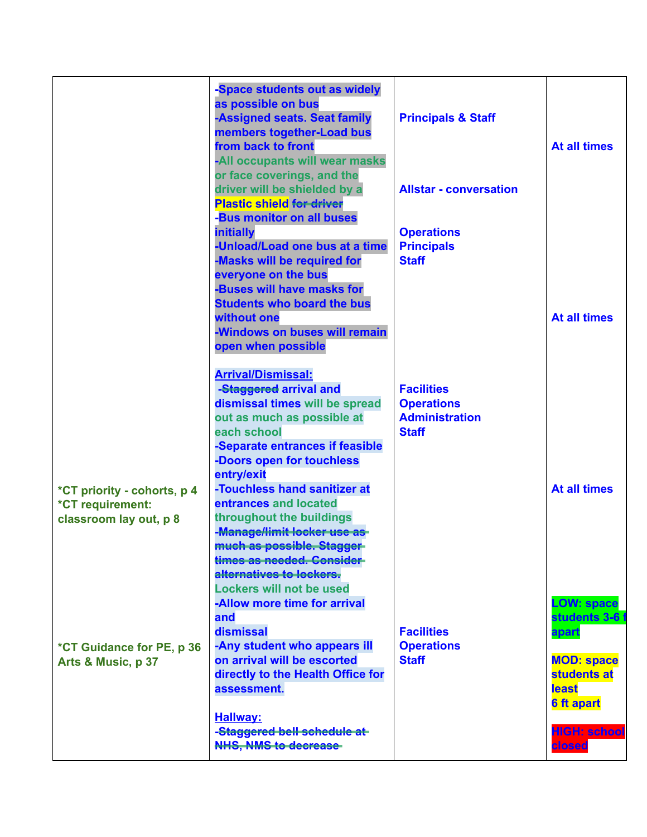|                                                                           | -Space students out as widely<br>as possible on bus<br>-Assigned seats. Seat family<br>members together-Load bus<br>from back to front<br>-All occupants will wear masks<br>or face coverings, and the<br>driver will be shielded by a<br><b>Plastic shield for driver</b>     | <b>Principals &amp; Staff</b><br><b>Allstar - conversation</b>                  | <b>At all times</b>                                                                                                      |
|---------------------------------------------------------------------------|--------------------------------------------------------------------------------------------------------------------------------------------------------------------------------------------------------------------------------------------------------------------------------|---------------------------------------------------------------------------------|--------------------------------------------------------------------------------------------------------------------------|
|                                                                           | -Bus monitor on all buses<br><b>initially</b><br>-Unload/Load one bus at a time<br>-Masks will be required for<br>everyone on the bus<br>-Buses will have masks for<br><b>Students who board the bus</b><br>without one<br>-Windows on buses will remain<br>open when possible | <b>Operations</b><br><b>Principals</b><br><b>Staff</b>                          | <b>At all times</b>                                                                                                      |
|                                                                           | <b>Arrival/Dismissal:</b><br>-Staggered arrival and<br>dismissal times will be spread<br>out as much as possible at<br>each school<br>-Separate entrances if feasible<br>-Doors open for touchless<br>entry/exit                                                               | <b>Facilities</b><br><b>Operations</b><br><b>Administration</b><br><b>Staff</b> |                                                                                                                          |
| *CT priority - cohorts, p 4<br>*CT requirement:<br>classroom lay out, p 8 | -Touchless hand sanitizer at<br>entrances and located<br>throughout the buildings<br>-Manage/limit-locker-use as-<br>much as possible. Stagger-<br>times as needed. Consider-<br>alternatives to lockers.<br><b>Lockers will not be used</b><br>-Allow more time for arrival   |                                                                                 | <b>At all times</b><br><b>LOW: space</b>                                                                                 |
| *CT Guidance for PE, p 36<br>Arts & Music, p 37                           | and<br>dismissal<br>-Any student who appears ill<br>on arrival will be escorted<br>directly to the Health Office for<br>assessment.<br><b>Hallway:</b><br>-Staggered bell schedule at-<br><b>NHS, NMS to decrease</b>                                                          | <b>Facilities</b><br><b>Operations</b><br><b>Staff</b>                          | students 3-6<br>apart<br><b>MOD: space</b><br>students at<br>least<br><b>6 ft apart</b><br><b>HIGH: school</b><br>closed |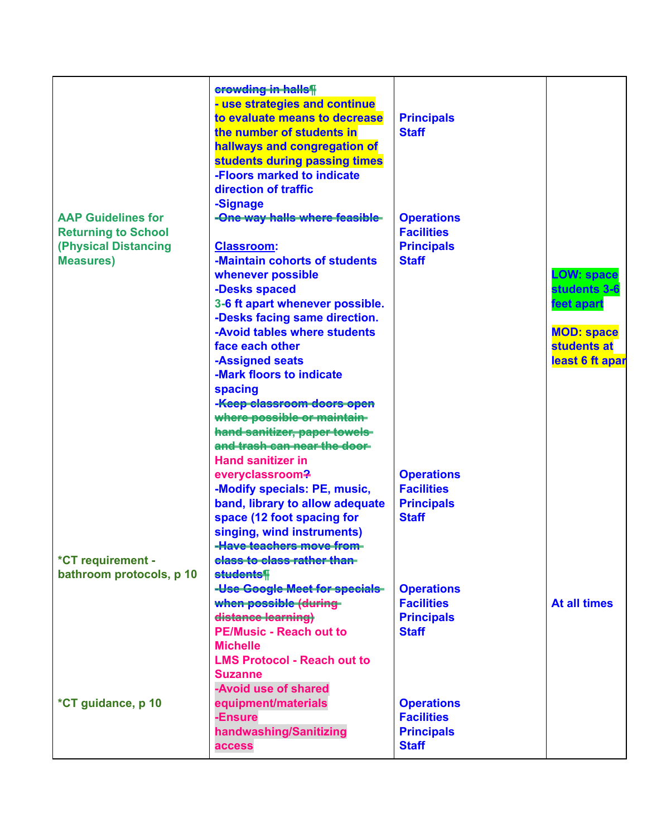|                                                                               | erowding in halls<br>- use strategies and continue<br>to evaluate means to decrease<br>the number of students in               | <b>Principals</b><br><b>Staff</b>                           |                                                     |
|-------------------------------------------------------------------------------|--------------------------------------------------------------------------------------------------------------------------------|-------------------------------------------------------------|-----------------------------------------------------|
|                                                                               | hallways and congregation of<br>students during passing times<br>-Floors marked to indicate                                    |                                                             |                                                     |
| <b>AAP Guidelines for</b>                                                     | direction of traffic<br>-Signage<br>-One way halls where feasible-                                                             | <b>Operations</b>                                           |                                                     |
| <b>Returning to School</b><br><b>(Physical Distancing</b><br><b>Measures)</b> | <b>Classroom:</b><br>-Maintain cohorts of students                                                                             | <b>Facilities</b><br><b>Principals</b><br><b>Staff</b>      |                                                     |
|                                                                               | whenever possible<br>-Desks spaced<br>3-6 ft apart whenever possible.                                                          |                                                             | <b>LOW: space</b><br>students 3-6<br>feet apart     |
|                                                                               | -Desks facing same direction.<br>-Avoid tables where students<br>face each other<br>-Assigned seats                            |                                                             | <b>MOD: space</b><br>students at<br>least 6 ft apar |
|                                                                               | -Mark floors to indicate<br>spacing<br>-Keep-classroom-doors-open                                                              |                                                             |                                                     |
|                                                                               | where possible or maintain-<br>hand-sanitizer, paper towels-<br>and trash can near the door                                    |                                                             |                                                     |
|                                                                               | <b>Hand sanitizer in</b><br>everyclassroom?<br>-Modify specials: PE, music,                                                    | <b>Operations</b><br><b>Facilities</b>                      |                                                     |
|                                                                               | band, library to allow adequate<br>space (12 foot spacing for<br>singing, wind instruments)<br><b>Have teachers move from-</b> | <b>Principals</b><br><b>Staff</b>                           |                                                     |
| *CT requirement -<br>bathroom protocols, p 10                                 | class to class rather than-<br>students¶<br>-Use-Google-Meet-for-specials-                                                     | <b>Operations</b>                                           |                                                     |
|                                                                               | when possible (during-<br>distance learning)<br><b>PE/Music - Reach out to</b>                                                 | <b>Facilities</b><br><b>Principals</b><br><b>Staff</b>      | <b>At all times</b>                                 |
|                                                                               | <b>Michelle</b><br><b>LMS Protocol - Reach out to</b><br><b>Suzanne</b>                                                        |                                                             |                                                     |
| *CT guidance, p 10                                                            | -Avoid use of shared<br>equipment/materials<br>-Ensure<br>handwashing/Sanitizing                                               | <b>Operations</b><br><b>Facilities</b><br><b>Principals</b> |                                                     |
|                                                                               | access                                                                                                                         | <b>Staff</b>                                                |                                                     |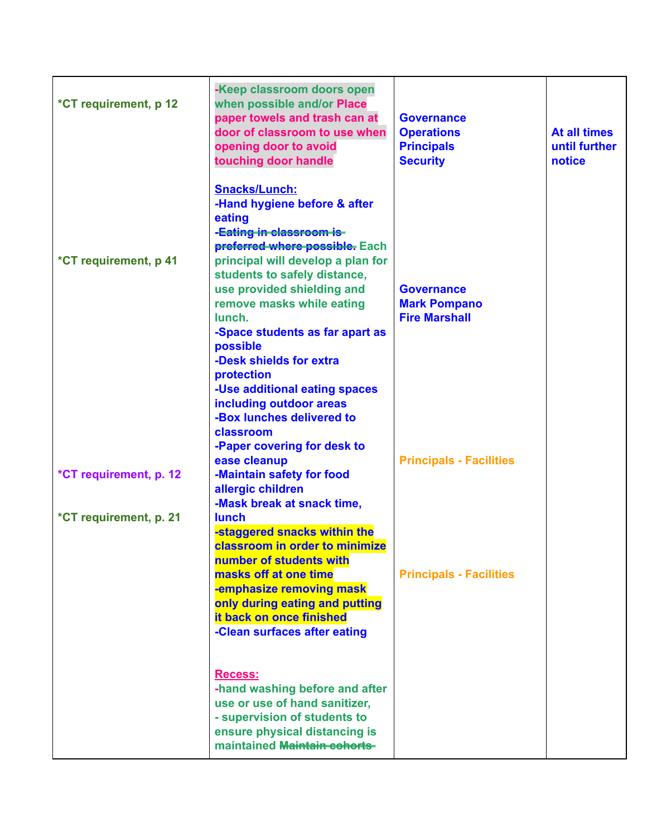| *CT requirement, p 12  | -Keep classroom doors open<br>when possible and/or Place<br>paper towels and trash can at<br>door of classroom to use when<br>opening door to avoid<br>touching door handle                                                                                                                                                                                                                                                                             | <b>Governance</b><br><b>Operations</b><br><b>Principals</b><br><b>Security</b> | <b>At all times</b><br>until further<br>notice |
|------------------------|---------------------------------------------------------------------------------------------------------------------------------------------------------------------------------------------------------------------------------------------------------------------------------------------------------------------------------------------------------------------------------------------------------------------------------------------------------|--------------------------------------------------------------------------------|------------------------------------------------|
| *CT requirement, p 41  | <b>Snacks/Lunch:</b><br>-Hand hygiene before & after<br>eating<br>-Eating in classroom is-<br>preferred where possible. Each<br>principal will develop a plan for<br>students to safely distance,<br>use provided shielding and<br>remove masks while eating<br>lunch.<br>-Space students as far apart as<br>possible<br>-Desk shields for extra<br>protection<br>-Use additional eating spaces<br>including outdoor areas<br>-Box lunches delivered to | <b>Governance</b><br><b>Mark Pompano</b><br><b>Fire Marshall</b>               |                                                |
| *CT requirement, p. 12 | classroom<br>-Paper covering for desk to<br>ease cleanup<br>-Maintain safety for food<br>allergic children                                                                                                                                                                                                                                                                                                                                              | <b>Principals - Facilities</b>                                                 |                                                |
| *CT requirement, p. 21 | -Mask break at snack time,<br><b>lunch</b><br>-staggered snacks within the<br>classroom in order to minimize<br>number of students with<br>masks off at one time<br>-emphasize removing mask<br>only during eating and putting<br>it back on once finished<br>-Clean surfaces after eating                                                                                                                                                              | <b>Principals - Facilities</b>                                                 |                                                |
|                        | <b>Recess:</b><br>-hand washing before and after<br>use or use of hand sanitizer,<br>- supervision of students to<br>ensure physical distancing is<br>maintained Maintain cohorts-                                                                                                                                                                                                                                                                      |                                                                                |                                                |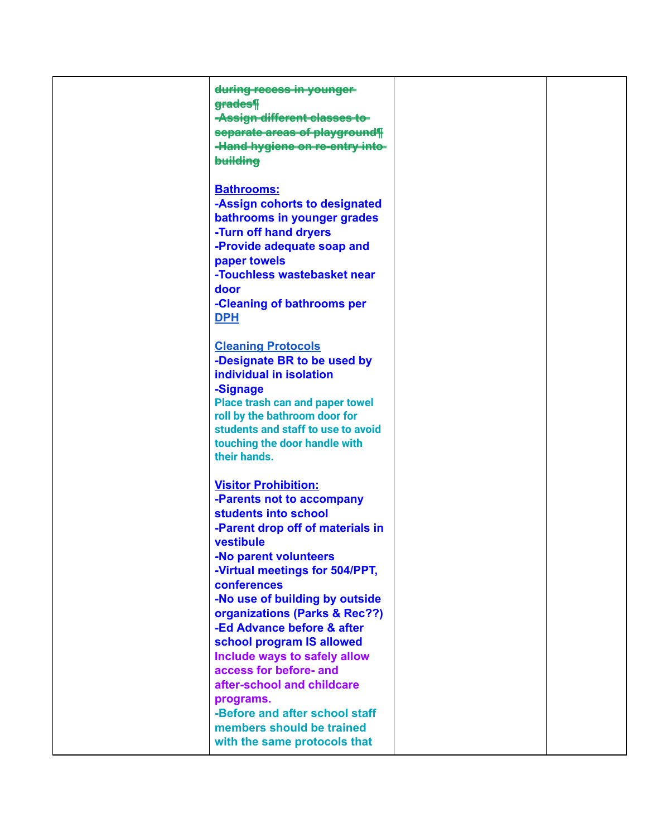| during recess in younger               |  |
|----------------------------------------|--|
|                                        |  |
| grades¶                                |  |
| -Assign different classes to-          |  |
| separate areas of playground¶          |  |
|                                        |  |
| -Hand hygiene on re-entry into-        |  |
| building                               |  |
|                                        |  |
|                                        |  |
| <b>Bathrooms:</b>                      |  |
| -Assign cohorts to designated          |  |
| bathrooms in younger grades            |  |
|                                        |  |
| -Turn off hand dryers                  |  |
| -Provide adequate soap and             |  |
| paper towels                           |  |
|                                        |  |
| -Touchless wastebasket near            |  |
| door                                   |  |
| -Cleaning of bathrooms per             |  |
|                                        |  |
| <b>DPH</b>                             |  |
|                                        |  |
| <b>Cleaning Protocols</b>              |  |
|                                        |  |
| -Designate BR to be used by            |  |
| individual in isolation                |  |
| -Signage                               |  |
|                                        |  |
| <b>Place trash can and paper towel</b> |  |
| roll by the bathroom door for          |  |
| students and staff to use to avoid     |  |
| touching the door handle with          |  |
| their hands.                           |  |
|                                        |  |
|                                        |  |
| <b>Visitor Prohibition:</b>            |  |
| -Parents not to accompany              |  |
|                                        |  |
| students into school                   |  |
| -Parent drop off of materials in       |  |
| vestibule                              |  |
|                                        |  |
| -No parent volunteers                  |  |
| -Virtual meetings for 504/PPT,         |  |
| conferences                            |  |
|                                        |  |
| -No use of building by outside         |  |
| organizations (Parks & Rec??)          |  |
| -Ed Advance before & after             |  |
| school program IS allowed              |  |
|                                        |  |
| Include ways to safely allow           |  |
| access for before- and                 |  |
| after-school and childcare             |  |
|                                        |  |
| programs.                              |  |
| -Before and after school staff         |  |
| members should be trained              |  |
|                                        |  |
| with the same protocols that           |  |
|                                        |  |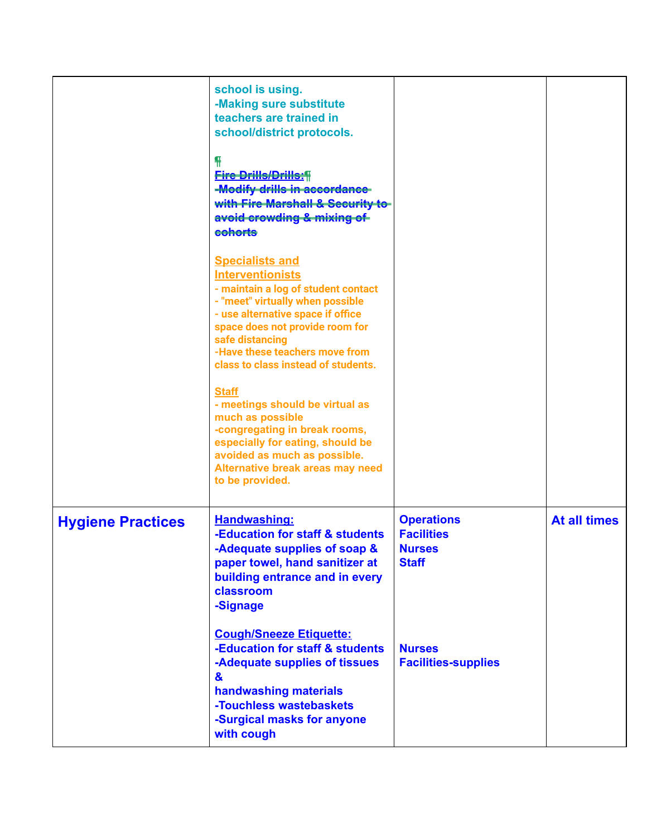|                          | school is using.<br>-Making sure substitute<br>teachers are trained in<br>school/district protocols.<br><b>Fire Drills/Drills:</b><br>-Modify drills in accordance-<br>with Fire Marshall & Security to<br>avoid crowding & mixing of<br>cohorts<br><b>Specialists and</b><br><b>Interventionists</b><br>- maintain a log of student contact<br>- "meet" virtually when possible<br>- use alternative space if office<br>space does not provide room for<br>safe distancing<br>-Have these teachers move from<br>class to class instead of students.<br><b>Staff</b><br>- meetings should be virtual as<br>much as possible<br>-congregating in break rooms,<br>especially for eating, should be<br>avoided as much as possible.<br>Alternative break areas may need<br>to be provided. |                                                                                                                        |                     |
|--------------------------|-----------------------------------------------------------------------------------------------------------------------------------------------------------------------------------------------------------------------------------------------------------------------------------------------------------------------------------------------------------------------------------------------------------------------------------------------------------------------------------------------------------------------------------------------------------------------------------------------------------------------------------------------------------------------------------------------------------------------------------------------------------------------------------------|------------------------------------------------------------------------------------------------------------------------|---------------------|
| <b>Hygiene Practices</b> | Handwashing:<br>-Education for staff & students<br>-Adequate supplies of soap &<br>paper towel, hand sanitizer at<br>building entrance and in every<br>classroom<br>-Signage<br><b>Cough/Sneeze Etiquette:</b><br>-Education for staff & students<br>-Adequate supplies of tissues<br>&<br>handwashing materials<br>-Touchless wastebaskets<br>-Surgical masks for anyone<br>with cough                                                                                                                                                                                                                                                                                                                                                                                                 | <b>Operations</b><br><b>Facilities</b><br><b>Nurses</b><br><b>Staff</b><br><b>Nurses</b><br><b>Facilities-supplies</b> | <b>At all times</b> |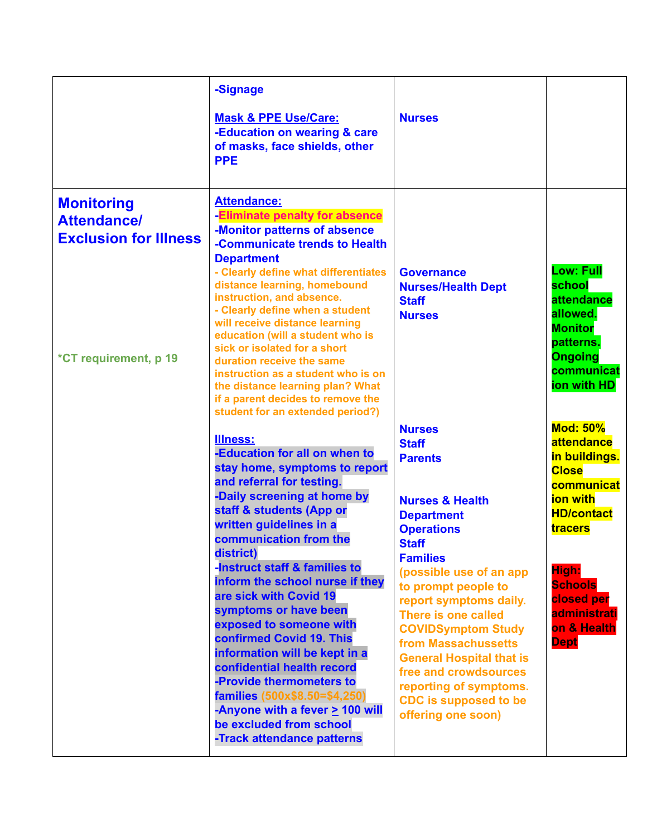|                                                                                                  | -Signage<br><b>Mask &amp; PPE Use/Care:</b><br>-Education on wearing & care<br>of masks, face shields, other<br><b>PPE</b>                                                                                                                                                                                                                                                                                                                                                                                                                                                                                                                             | <b>Nurses</b>                                                                                                                                                                                                                                                                                                                                                                                                                                                 |                                                                                                                                                                                                                 |
|--------------------------------------------------------------------------------------------------|--------------------------------------------------------------------------------------------------------------------------------------------------------------------------------------------------------------------------------------------------------------------------------------------------------------------------------------------------------------------------------------------------------------------------------------------------------------------------------------------------------------------------------------------------------------------------------------------------------------------------------------------------------|---------------------------------------------------------------------------------------------------------------------------------------------------------------------------------------------------------------------------------------------------------------------------------------------------------------------------------------------------------------------------------------------------------------------------------------------------------------|-----------------------------------------------------------------------------------------------------------------------------------------------------------------------------------------------------------------|
| <b>Monitoring</b><br><b>Attendance/</b><br><b>Exclusion for Illness</b><br>*CT requirement, p 19 | <b>Attendance:</b><br>-Eliminate penalty for absence<br>-Monitor patterns of absence<br>-Communicate trends to Health<br><b>Department</b><br>- Clearly define what differentiates<br>distance learning, homebound<br>instruction, and absence.<br>- Clearly define when a student<br>will receive distance learning<br>education (will a student who is<br>sick or isolated for a short<br>duration receive the same<br>instruction as a student who is on<br>the distance learning plan? What<br>if a parent decides to remove the<br>student for an extended period?)                                                                               | <b>Governance</b><br><b>Nurses/Health Dept</b><br><b>Staff</b><br><b>Nurses</b>                                                                                                                                                                                                                                                                                                                                                                               | <b>Low: Full</b><br>school<br>attendance<br>allowed.<br><b>Monitor</b><br>patterns.<br><b>Ongoing</b><br>communicat<br>ion with HD                                                                              |
|                                                                                                  | <b>Illness:</b><br>-Education for all on when to<br>stay home, symptoms to report<br>and referral for testing.<br>-Daily screening at home by<br>staff & students (App or<br>written guidelines in a<br>communication from the<br>district)<br>-Instruct staff & families to<br>inform the school nurse if they<br>are sick with Covid 19<br>symptoms or have been<br>exposed to someone with<br>confirmed Covid 19. This<br>information will be kept in a<br>confidential health record<br>-Provide thermometers to<br>families (500x\$8.50=\$4,250)<br>-Anyone with a fever $\geq$ 100 will<br>be excluded from school<br>-Track attendance patterns | <b>Nurses</b><br><b>Staff</b><br><b>Parents</b><br><b>Nurses &amp; Health</b><br><b>Department</b><br><b>Operations</b><br><b>Staff</b><br><b>Families</b><br>(possible use of an app<br>to prompt people to<br>report symptoms daily.<br>There is one called<br><b>COVIDSymptom Study</b><br>from Massachussetts<br><b>General Hospital that is</b><br>free and crowdsources<br>reporting of symptoms.<br><b>CDC</b> is supposed to be<br>offering one soon) | <b>Mod: 50%</b><br>attendance<br>in buildings.<br><b>Close</b><br>communicat<br>ion with<br><b>HD/contact</b><br>tracers<br>High:<br><b>Schools</b><br>closed per<br>administrati<br>on & Health<br><b>Dept</b> |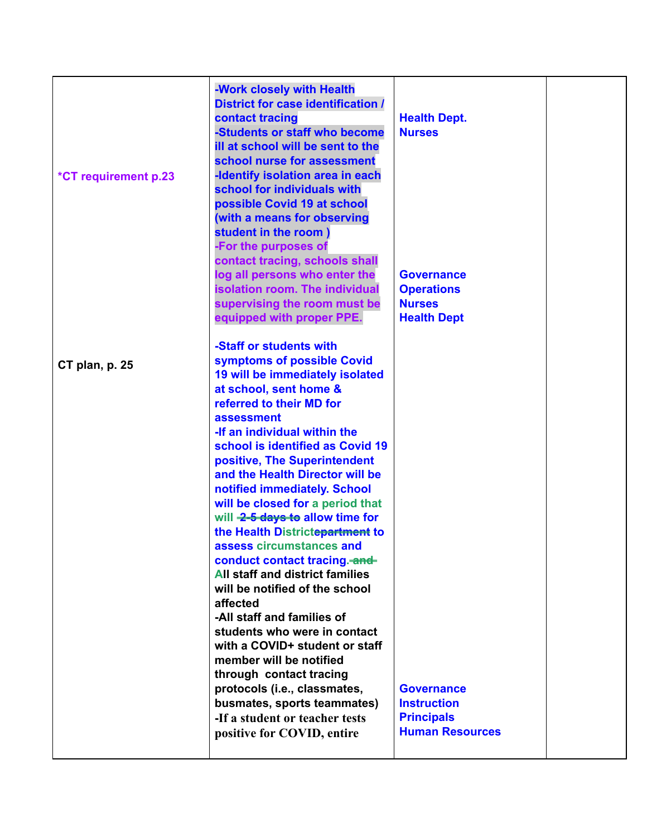| <b>*CT requirement p.23</b> | -Work closely with Health<br><b>District for case identification /</b><br>contact tracing<br>-Students or staff who become<br>ill at school will be sent to the<br>school nurse for assessment<br>-Identify isolation area in each<br>school for individuals with<br>possible Covid 19 at school<br>(with a means for observing<br>student in the room)<br>-For the purposes of<br>contact tracing, schools shall<br>log all persons who enter the<br>isolation room. The individual<br>supervising the room must be<br>equipped with proper PPE.                                                                                                                                                                                                                                                                                                                                       | <b>Health Dept.</b><br><b>Nurses</b><br><b>Governance</b><br><b>Operations</b><br><b>Nurses</b><br><b>Health Dept</b> |  |
|-----------------------------|-----------------------------------------------------------------------------------------------------------------------------------------------------------------------------------------------------------------------------------------------------------------------------------------------------------------------------------------------------------------------------------------------------------------------------------------------------------------------------------------------------------------------------------------------------------------------------------------------------------------------------------------------------------------------------------------------------------------------------------------------------------------------------------------------------------------------------------------------------------------------------------------|-----------------------------------------------------------------------------------------------------------------------|--|
| CT plan, p. 25              | -Staff or students with<br>symptoms of possible Covid<br>19 will be immediately isolated<br>at school, sent home &<br>referred to their MD for<br>assessment<br>-If an individual within the<br>school is identified as Covid 19<br>positive, The Superintendent<br>and the Health Director will be<br>notified immediately. School<br>will be closed for a period that<br>will 2-5 days to allow time for<br>the Health Districtepartment to<br>assess circumstances and<br>conduct contact tracing.-and-<br><b>All staff and district families</b><br>will be notified of the school<br>affected<br>-All staff and families of<br>students who were in contact<br>with a COVID+ student or staff<br>member will be notified<br>through contact tracing<br>protocols (i.e., classmates,<br>busmates, sports teammates)<br>-If a student or teacher tests<br>positive for COVID, entire | <b>Governance</b><br><b>Instruction</b><br><b>Principals</b><br><b>Human Resources</b>                                |  |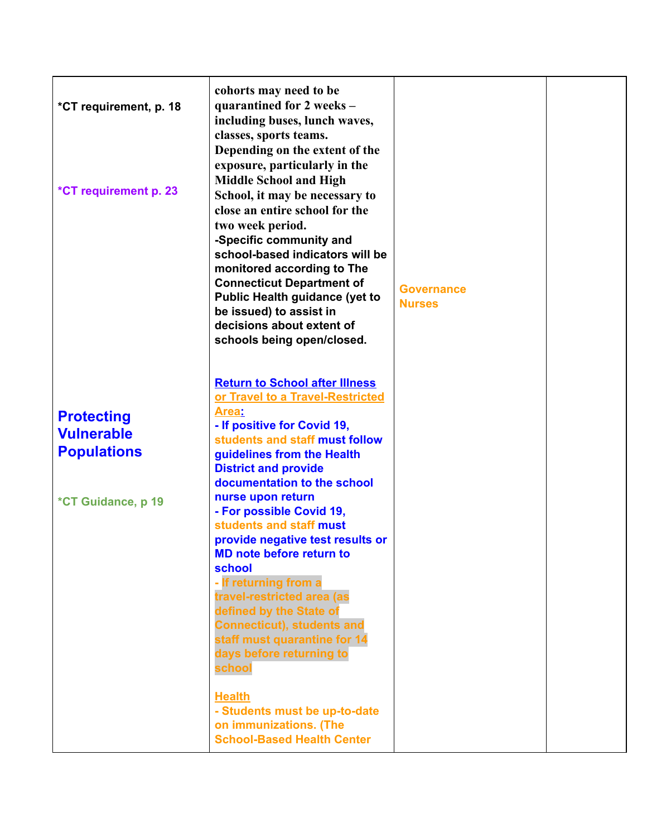| *CT requirement, p. 18<br>*CT requirement p. 23                                    | cohorts may need to be<br>quarantined for 2 weeks -<br>including buses, lunch waves,<br>classes, sports teams.<br>Depending on the extent of the<br>exposure, particularly in the<br><b>Middle School and High</b><br>School, it may be necessary to<br>close an entire school for the<br>two week period.<br>-Specific community and<br>school-based indicators will be<br>monitored according to The<br><b>Connecticut Department of</b><br><b>Public Health guidance (yet to</b><br>be issued) to assist in<br>decisions about extent of<br>schools being open/closed.                                                                                   | <b>Governance</b><br><b>Nurses</b> |  |
|------------------------------------------------------------------------------------|-------------------------------------------------------------------------------------------------------------------------------------------------------------------------------------------------------------------------------------------------------------------------------------------------------------------------------------------------------------------------------------------------------------------------------------------------------------------------------------------------------------------------------------------------------------------------------------------------------------------------------------------------------------|------------------------------------|--|
| <b>Protecting</b><br><b>Vulnerable</b><br><b>Populations</b><br>*CT Guidance, p 19 | <b>Return to School after Illness</b><br>or Travel to a Travel-Restricted<br>Area:<br>- If positive for Covid 19,<br>students and staff must follow<br>guidelines from the Health<br><b>District and provide</b><br>documentation to the school<br>nurse upon return<br>- For possible Covid 19,<br>students and staff must<br>provide negative test results or<br><b>MD note before return to</b><br>school<br>- If returning from a<br>travel-restricted area (as<br>defined by the State of<br><b>Connecticut), students and</b><br>staff must quarantine for 14<br>days before returning to<br>school<br><b>Health</b><br>- Students must be up-to-date |                                    |  |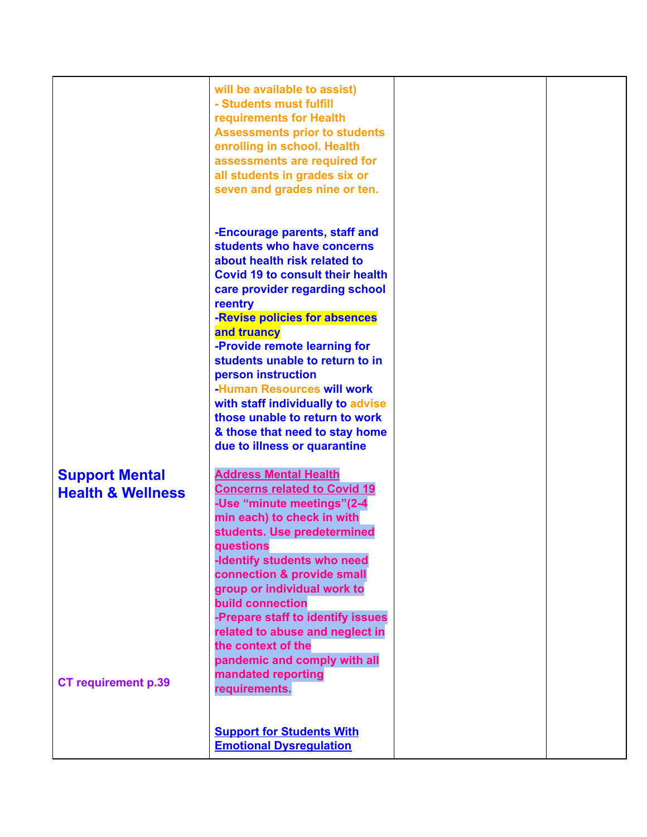|                                                       | will be available to assist)<br>- Students must fulfill<br>requirements for Health<br><b>Assessments prior to students</b><br>enrolling in school. Health<br>assessments are required for<br>all students in grades six or<br>seven and grades nine or ten.                                        |  |
|-------------------------------------------------------|----------------------------------------------------------------------------------------------------------------------------------------------------------------------------------------------------------------------------------------------------------------------------------------------------|--|
|                                                       | -Encourage parents, staff and<br>students who have concerns<br>about health risk related to<br><b>Covid 19 to consult their health</b><br>care provider regarding school<br>reentry<br>-Revise policies for absences<br>and truancy<br>-Provide remote learning for                                |  |
|                                                       | students unable to return to in<br>person instruction<br>-Human Resources will work<br>with staff individually to advise<br>those unable to return to work<br>& those that need to stay home<br>due to illness or quarantine                                                                       |  |
| <b>Support Mental</b><br><b>Health &amp; Wellness</b> | <b>Address Mental Health</b><br><b>Concerns related to Covid 19</b><br>-Use "minute meetings"(2-4<br>min each) to check in with<br>students. Use predetermined<br>questions<br>-Identify students who need<br>connection & provide small<br>group or individual work to<br><b>build connection</b> |  |
| <b>CT requirement p.39</b>                            | -Prepare staff to identify issues<br>related to abuse and neglect in<br>the context of the<br>pandemic and comply with all<br>mandated reporting<br>requirements.                                                                                                                                  |  |
|                                                       | <b>Support for Students With</b><br><b>Emotional Dysregulation</b>                                                                                                                                                                                                                                 |  |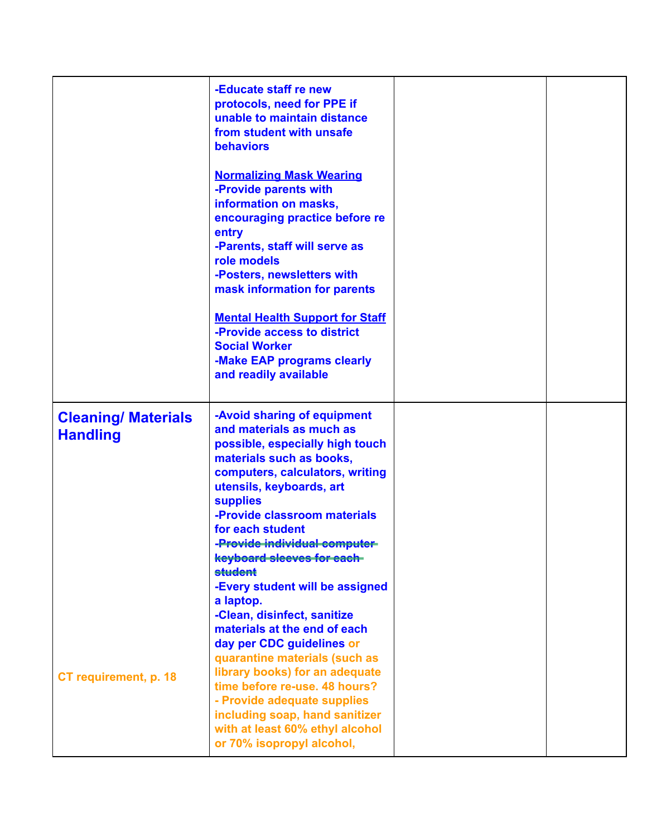|                                               | -Educate staff re new<br>protocols, need for PPE if<br>unable to maintain distance<br>from student with unsafe<br>behaviors<br><b>Normalizing Mask Wearing</b><br>-Provide parents with<br>information on masks,<br>encouraging practice before re<br>entry<br>-Parents, staff will serve as<br>role models<br>-Posters, newsletters with<br>mask information for parents<br><b>Mental Health Support for Staff</b><br>-Provide access to district<br><b>Social Worker</b><br>-Make EAP programs clearly<br>and readily available |  |
|-----------------------------------------------|-----------------------------------------------------------------------------------------------------------------------------------------------------------------------------------------------------------------------------------------------------------------------------------------------------------------------------------------------------------------------------------------------------------------------------------------------------------------------------------------------------------------------------------|--|
| <b>Cleaning/ Materials</b><br><b>Handling</b> | -Avoid sharing of equipment<br>and materials as much as<br>possible, especially high touch<br>materials such as books,<br>computers, calculators, writing<br>utensils, keyboards, art<br><b>supplies</b><br>-Provide classroom materials<br>for each student<br>-Provide individual computer-<br>keyboard sleeves for each-<br><b>student</b><br>-Every student will be assigned<br>a laptop.<br>-Clean, disinfect, sanitize<br>materials at the end of each<br>day per CDC guidelines or                                         |  |
| CT requirement, p. 18                         | quarantine materials (such as<br>library books) for an adequate<br>time before re-use, 48 hours?<br>- Provide adequate supplies<br>including soap, hand sanitizer<br>with at least 60% ethyl alcohol<br>or 70% isopropyl alcohol,                                                                                                                                                                                                                                                                                                 |  |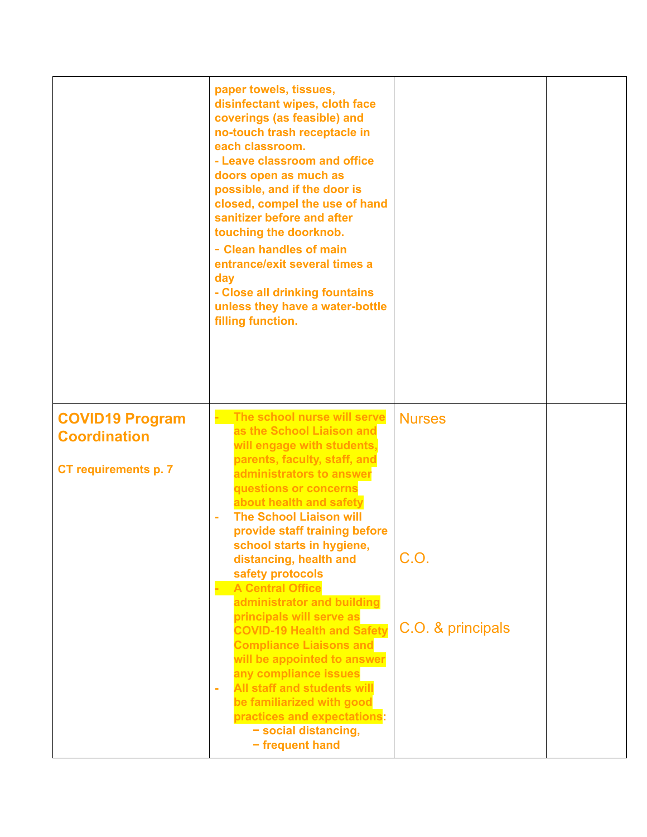|                                                                              | paper towels, tissues,<br>disinfectant wipes, cloth face<br>coverings (as feasible) and<br>no-touch trash receptacle in<br>each classroom.<br>- Leave classroom and office<br>doors open as much as<br>possible, and if the door is<br>closed, compel the use of hand<br>sanitizer before and after<br>touching the doorknob.<br>- Clean handles of main<br>entrance/exit several times a<br>day<br>- Close all drinking fountains<br>unless they have a water-bottle<br>filling function.                                                                                                                                                                                                                                       |                                            |  |
|------------------------------------------------------------------------------|----------------------------------------------------------------------------------------------------------------------------------------------------------------------------------------------------------------------------------------------------------------------------------------------------------------------------------------------------------------------------------------------------------------------------------------------------------------------------------------------------------------------------------------------------------------------------------------------------------------------------------------------------------------------------------------------------------------------------------|--------------------------------------------|--|
| <b>COVID19 Program</b><br><b>Coordination</b><br><b>CT requirements p. 7</b> | The school nurse will serve<br>as the School Liaison and<br>will engage with students,<br>parents, faculty, staff, and<br>administrators to answer<br>questions or concerns<br>about health and safety<br><b>The School Liaison will</b><br>ä,<br>provide staff training before<br>school starts in hygiene,<br>distancing, health and<br>safety protocols<br><b>A Central Office</b><br>administrator and building<br>principals will serve as<br><b>COVID-19 Health and Safety</b><br><b>Compliance Liaisons and</b><br>will be appointed to answer<br>any compliance issues<br><b>All staff and students will</b><br>÷<br>be familiarized with good<br>practices and expectations:<br>- social distancing,<br>- frequent hand | <b>Nurses</b><br>C.O.<br>C.O. & principals |  |